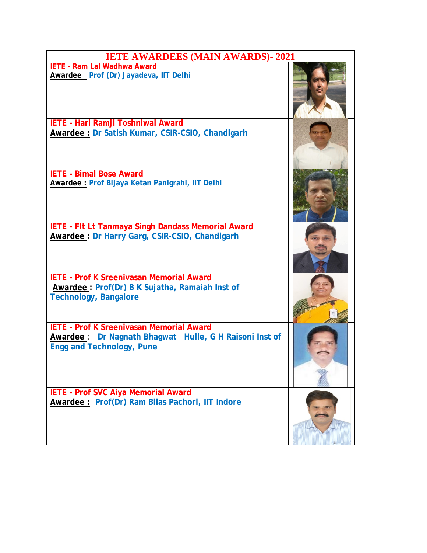| <b>IETE AWARDEES (MAIN AWARDS)- 2021</b>                                                                                                      |  |
|-----------------------------------------------------------------------------------------------------------------------------------------------|--|
| <b>IETE - Ram Lal Wadhwa Award</b><br>Awardee : Prof (Dr) Jayadeva, IIT Delhi                                                                 |  |
| IETE - Hari Ramji Toshniwal Award<br>Awardee: Dr Satish Kumar, CSIR-CSIO, Chandigarh                                                          |  |
| <b>IETE - Bimal Bose Award</b><br>Awardee: Prof Bijaya Ketan Panigrahi, IIT Delhi                                                             |  |
| IETE - FIt Lt Tanmaya Singh Dandass Memorial Award<br><b>Awardee: Dr Harry Garg, CSIR-CSIO, Chandigarh</b>                                    |  |
| <b>IETE - Prof K Sreenivasan Memorial Award</b><br>Awardee: Prof(Dr) B K Sujatha, Ramaiah Inst of<br><b>Technology, Bangalore</b>             |  |
| <b>IETE - Prof K Sreenivasan Memorial Award</b><br>Awardee: Dr Nagnath Bhagwat Hulle, G H Raisoni Inst of<br><b>Engg and Technology, Pune</b> |  |
| IETE - Prof SVC Aiya Memorial Award<br>Awardee: Prof(Dr) Ram Bilas Pachori, IIT Indore                                                        |  |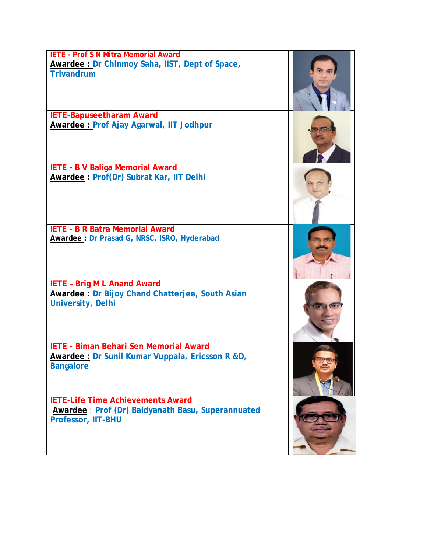| <b>IETE - Prof S N Mitra Memorial Award</b><br>Awardee: Dr Chinmoy Saha, IIST, Dept of Space,<br><b>Trivandrum</b>   |  |
|----------------------------------------------------------------------------------------------------------------------|--|
| <b>IETE-Bapuseetharam Award</b>                                                                                      |  |
| Awardee: Prof Ajay Agarwal, IIT Jodhpur                                                                              |  |
| <b>IETE - B V Baliga Memorial Award</b><br>Awardee: Prof(Dr) Subrat Kar, IIT Delhi                                   |  |
| <b>IETE - B R Batra Memorial Award</b><br>Awardee: Dr Prasad G, NRSC, ISRO, Hyderabad                                |  |
| <b>IETE - Brig M L Anand Award</b><br>Awardee: Dr Bijoy Chand Chatterjee, South Asian<br><b>University, Delhi</b>    |  |
| <b>IETE - Biman Behari Sen Memorial Award</b><br>Awardee: Dr Sunil Kumar Vuppala, Ericsson R &D,<br><b>Bangalore</b> |  |
| <b>IETE-Life Time Achievements Award</b><br>Awardee: Prof (Dr) Baidyanath Basu, Superannuated<br>Professor, IIT-BHU  |  |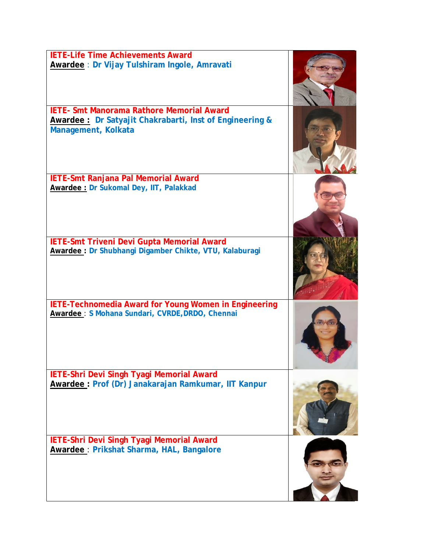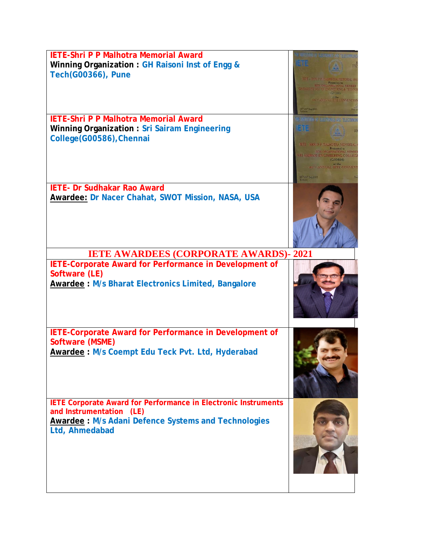| <b>IETE-Shri P P Malhotra Memorial Award</b><br>Winning Organization: GH Raisoni Inst of Engg &<br><b>Tech(G00366), Pune</b>                                                      | TELE - SHELF F. MALHOTHA MEMORIAL A<br><b>64TH ANNUAL JETE CONVENTION</b><br>1.25° Sep 2021                                                                                                              |  |
|-----------------------------------------------------------------------------------------------------------------------------------------------------------------------------------|----------------------------------------------------------------------------------------------------------------------------------------------------------------------------------------------------------|--|
| <b>IETE-Shri P P Malhotra Memorial Award</b><br>Winning Organization: Sri Sairam Engineering<br>College(G00586), Chennai                                                          | L DISAntador de Eugenbergs aux nobecareu<br>2112<br><b>IETE - SHRI P P MALHOTRA MEMORIAL</b><br><b>RI SAIRAM ENGINEERING COLLEG</b><br><b>HALL ANNUAL LETE CONVENT</b><br>us Pige Pilippigan.<br>Kalkuta |  |
| <b>IETE- Dr Sudhakar Rao Award</b><br>Awardee: Dr Nacer Chahat, SWOT Mission, NASA, USA                                                                                           |                                                                                                                                                                                                          |  |
| <b>IETE AWARDEES (CORPORATE AWARDS)-2021</b>                                                                                                                                      |                                                                                                                                                                                                          |  |
| IETE-Corporate Award for Performance in Development of<br>Software (LE)<br><b>Awardee: M/s Bharat Electronics Limited, Bangalore</b>                                              |                                                                                                                                                                                                          |  |
| IETE-Corporate Award for Performance in Development of<br>Software (MSME)<br>Awardee: M/s Coempt Edu Teck Pvt. Ltd, Hyderabad                                                     |                                                                                                                                                                                                          |  |
| <b>IETE Corporate Award for Performance in Electronic Instruments</b><br>and Instrumentation (LE)<br><b>Awardee: M/s Adani Defence Systems and Technologies</b><br>Ltd, Ahmedabad |                                                                                                                                                                                                          |  |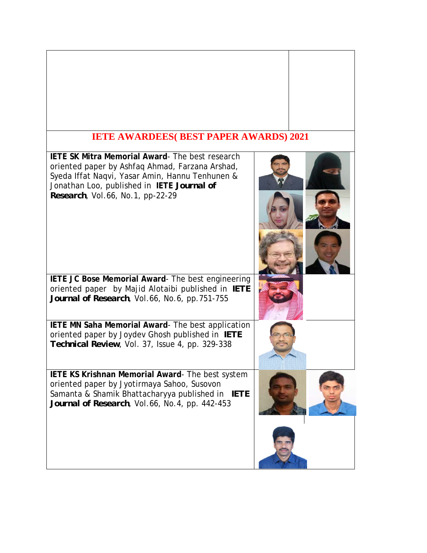## **IETE AWARDEES( BEST PAPER AWARDS) 2021 IETE SK Mitra Memorial Award**- The best research oriented paper by Ashfaq Ahmad, Farzana Arshad, Syeda Iffat Naqvi, Yasar Amin, Hannu Tenhunen & Jonathan Loo, published in **IETE** *Journal of Research*, Vol.66, No.1, pp-22-29 ļ I **IETE JC Bose Memorial Award**- The best engineering oriented paper by Majid Alotaibi published in *IETE Journal of Research*, Vol.66, No.6, pp.751-755 **IETE MN Saha Memorial Award**- The best application oriented paper by Joydev Ghosh published in *IETE Technical Review*, Vol. 37, Issue 4, pp. 329-338 **IETE KS Krishnan Memorial Award**- The best system oriented paper by Jyotirmaya Sahoo, Susovon Samanta & Shamik Bhattacharyya published in *IETE Journal of Research*, Vol.66, No.4, pp. 442-453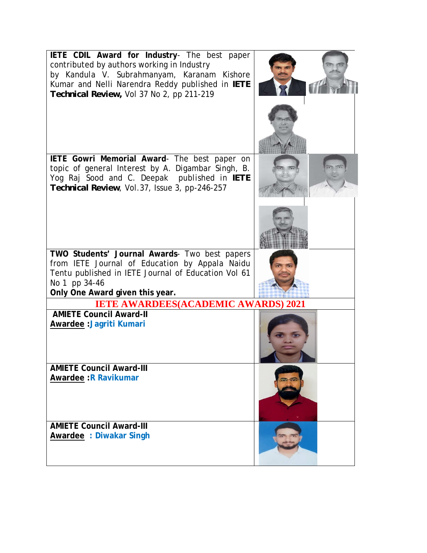